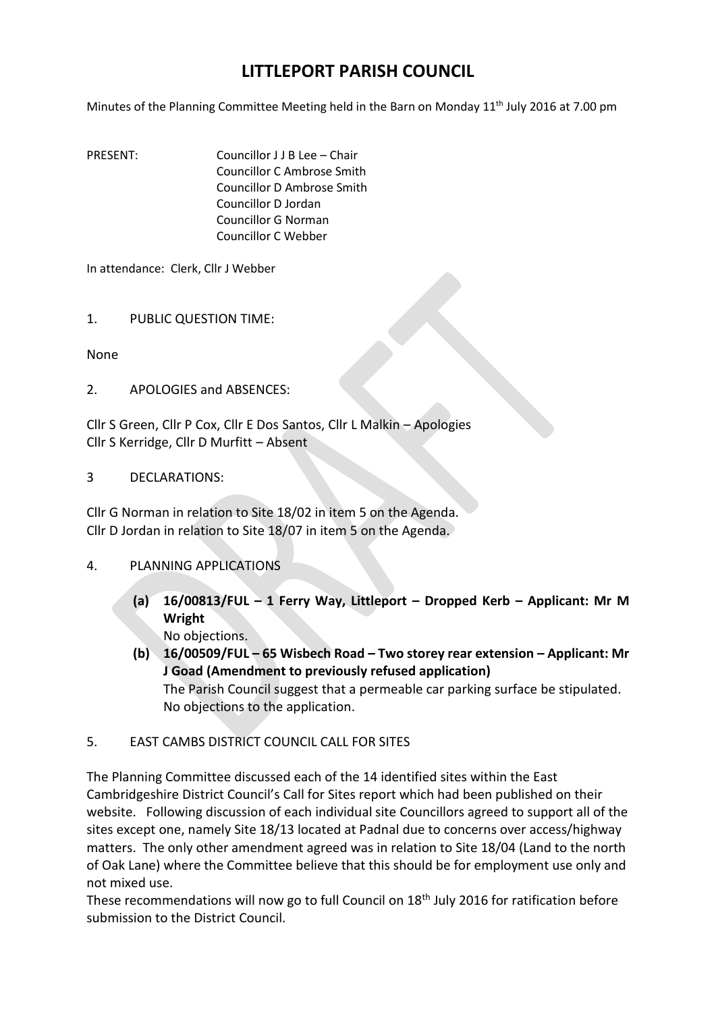## **LITTLEPORT PARISH COUNCIL**

Minutes of the Planning Committee Meeting held in the Barn on Monday  $11<sup>th</sup>$  July 2016 at 7.00 pm

PRESENT: Councillor J J B Lee – Chair Councillor C Ambrose Smith Councillor D Ambrose Smith Councillor D Jordan Councillor G Norman Councillor C Webber

In attendance: Clerk, Cllr J Webber

1. PUBLIC QUESTION TIME:

None

2. APOLOGIES and ABSENCES:

Cllr S Green, Cllr P Cox, Cllr E Dos Santos, Cllr L Malkin – Apologies Cllr S Kerridge, Cllr D Murfitt – Absent

## 3 DECLARATIONS:

Cllr G Norman in relation to Site 18/02 in item 5 on the Agenda. Cllr D Jordan in relation to Site 18/07 in item 5 on the Agenda.

## 4. PLANNING APPLICATIONS

**(a) 16/00813/FUL – 1 Ferry Way, Littleport – Dropped Kerb – Applicant: Mr M Wright**

No objections.

- **(b) 16/00509/FUL – 65 Wisbech Road – Two storey rear extension – Applicant: Mr J Goad (Amendment to previously refused application)** The Parish Council suggest that a permeable car parking surface be stipulated. No objections to the application.
- 5. EAST CAMBS DISTRICT COUNCIL CALL FOR SITES

The Planning Committee discussed each of the 14 identified sites within the East Cambridgeshire District Council's Call for Sites report which had been published on their website. Following discussion of each individual site Councillors agreed to support all of the sites except one, namely Site 18/13 located at Padnal due to concerns over access/highway matters. The only other amendment agreed was in relation to Site 18/04 (Land to the north of Oak Lane) where the Committee believe that this should be for employment use only and not mixed use.

These recommendations will now go to full Council on 18<sup>th</sup> July 2016 for ratification before submission to the District Council.